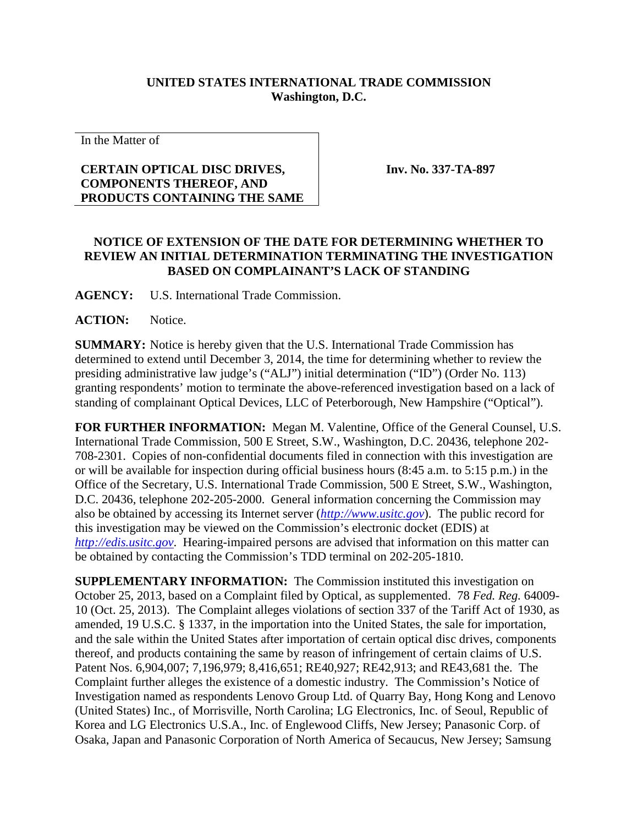## **UNITED STATES INTERNATIONAL TRADE COMMISSION Washington, D.C.**

In the Matter of

## **CERTAIN OPTICAL DISC DRIVES, COMPONENTS THEREOF, AND PRODUCTS CONTAINING THE SAME**

**Inv. No. 337-TA-897**

## **NOTICE OF EXTENSION OF THE DATE FOR DETERMINING WHETHER TO REVIEW AN INITIAL DETERMINATION TERMINATING THE INVESTIGATION BASED ON COMPLAINANT'S LACK OF STANDING**

**AGENCY:** U.S. International Trade Commission.

**ACTION:** Notice.

**SUMMARY:** Notice is hereby given that the U.S. International Trade Commission has determined to extend until December 3, 2014, the time for determining whether to review the presiding administrative law judge's ("ALJ") initial determination ("ID") (Order No. 113) granting respondents' motion to terminate the above-referenced investigation based on a lack of standing of complainant Optical Devices, LLC of Peterborough, New Hampshire ("Optical").

**FOR FURTHER INFORMATION:** Megan M. Valentine, Office of the General Counsel, U.S. International Trade Commission, 500 E Street, S.W., Washington, D.C. 20436, telephone 202- 708-2301. Copies of non-confidential documents filed in connection with this investigation are or will be available for inspection during official business hours (8:45 a.m. to 5:15 p.m.) in the Office of the Secretary, U.S. International Trade Commission, 500 E Street, S.W., Washington, D.C. 20436, telephone 202-205-2000. General information concerning the Commission may also be obtained by accessing its Internet server (*[http://www.usitc.gov](http://www.usitc.gov/)*). The public record for this investigation may be viewed on the Commission's electronic docket (EDIS) at *[http://edis.usitc.gov](http://edis.usitc.gov/)*. Hearing-impaired persons are advised that information on this matter can be obtained by contacting the Commission's TDD terminal on 202-205-1810.

**SUPPLEMENTARY INFORMATION:** The Commission instituted this investigation on October 25, 2013, based on a Complaint filed by Optical, as supplemented. 78 *Fed. Reg.* 64009- 10 (Oct. 25, 2013). The Complaint alleges violations of section 337 of the Tariff Act of 1930, as amended, 19 U.S.C. § 1337, in the importation into the United States, the sale for importation, and the sale within the United States after importation of certain optical disc drives, components thereof, and products containing the same by reason of infringement of certain claims of U.S. Patent Nos. 6,904,007; 7,196,979; 8,416,651; RE40,927; RE42,913; and RE43,681 the. The Complaint further alleges the existence of a domestic industry. The Commission's Notice of Investigation named as respondents Lenovo Group Ltd. of Quarry Bay, Hong Kong and Lenovo (United States) Inc., of Morrisville, North Carolina; LG Electronics, Inc. of Seoul, Republic of Korea and LG Electronics U.S.A., Inc. of Englewood Cliffs, New Jersey; Panasonic Corp. of Osaka, Japan and Panasonic Corporation of North America of Secaucus, New Jersey; Samsung